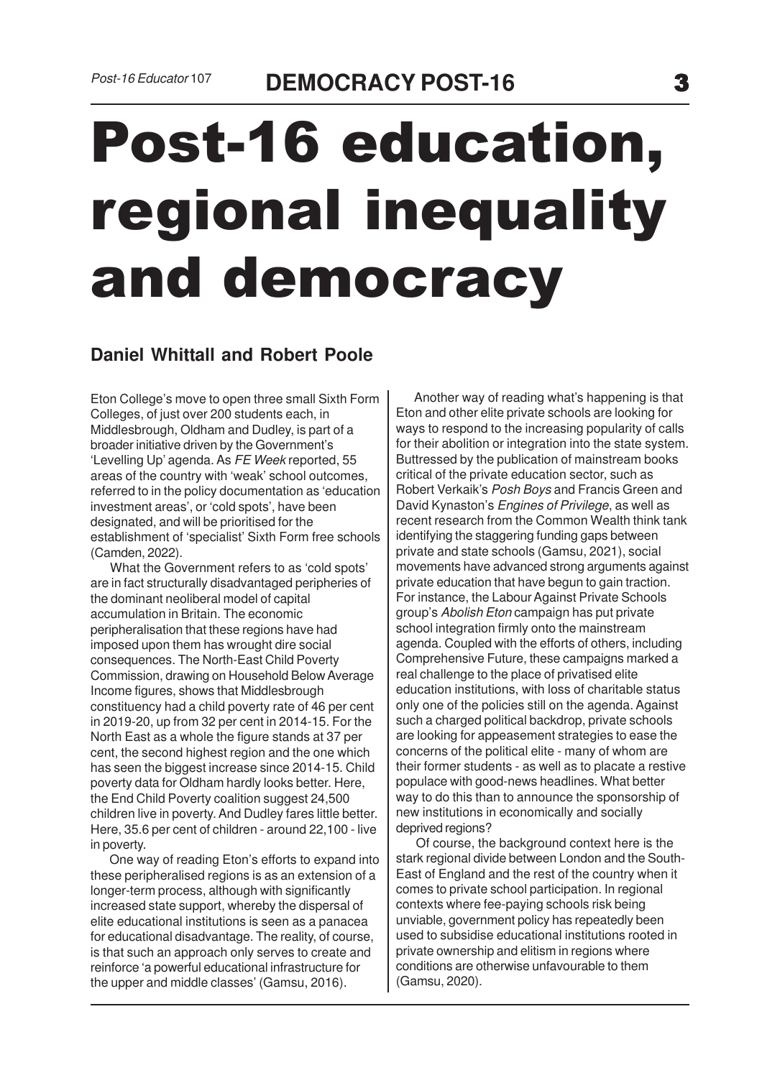## Post-16 education, regional inequality and democracy

## **Daniel Whittall and Robert Poole**

Eton College's move to open three small Sixth Form Colleges, of just over 200 students each, in Middlesbrough, Oldham and Dudley, is part of a broader initiative driven by the Government's 'Levelling Up' agenda. As FE Week reported, 55 areas of the country with 'weak' school outcomes, referred to in the policy documentation as 'education investment areas', or 'cold spots', have been designated, and will be prioritised for the establishment of 'specialist' Sixth Form free schools (Camden, 2022).

 What the Government refers to as 'cold spots' are in fact structurally disadvantaged peripheries of the dominant neoliberal model of capital accumulation in Britain. The economic peripheralisation that these regions have had imposed upon them has wrought dire social consequences. The North-East Child Poverty Commission, drawing on Household Below Average Income figures, shows that Middlesbrough constituency had a child poverty rate of 46 per cent in 2019-20, up from 32 per cent in 2014-15. For the North East as a whole the figure stands at 37 per cent, the second highest region and the one which has seen the biggest increase since 2014-15. Child poverty data for Oldham hardly looks better. Here, the End Child Poverty coalition suggest 24,500 children live in poverty. And Dudley fares little better. Here, 35.6 per cent of children - around 22,100 - live in poverty.

 One way of reading Eton's efforts to expand into these peripheralised regions is as an extension of a longer-term process, although with significantly increased state support, whereby the dispersal of elite educational institutions is seen as a panacea for educational disadvantage. The reality, of course, is that such an approach only serves to create and reinforce 'a powerful educational infrastructure for the upper and middle classes' (Gamsu, 2016).

 Another way of reading what's happening is that Eton and other elite private schools are looking for ways to respond to the increasing popularity of calls for their abolition or integration into the state system. Buttressed by the publication of mainstream books critical of the private education sector, such as Robert Verkaik's Posh Boys and Francis Green and David Kynaston's Engines of Privilege, as well as recent research from the Common Wealth think tank identifying the staggering funding gaps between private and state schools (Gamsu, 2021), social movements have advanced strong arguments against private education that have begun to gain traction. For instance, the Labour Against Private Schools group's Abolish Eton campaign has put private school integration firmly onto the mainstream agenda. Coupled with the efforts of others, including Comprehensive Future, these campaigns marked a real challenge to the place of privatised elite education institutions, with loss of charitable status only one of the policies still on the agenda. Against such a charged political backdrop, private schools are looking for appeasement strategies to ease the concerns of the political elite - many of whom are their former students - as well as to placate a restive populace with good-news headlines. What better way to do this than to announce the sponsorship of new institutions in economically and socially deprived regions?

 Of course, the background context here is the stark regional divide between London and the South-East of England and the rest of the country when it comes to private school participation. In regional contexts where fee-paying schools risk being unviable, government policy has repeatedly been used to subsidise educational institutions rooted in private ownership and elitism in regions where conditions are otherwise unfavourable to them (Gamsu, 2020).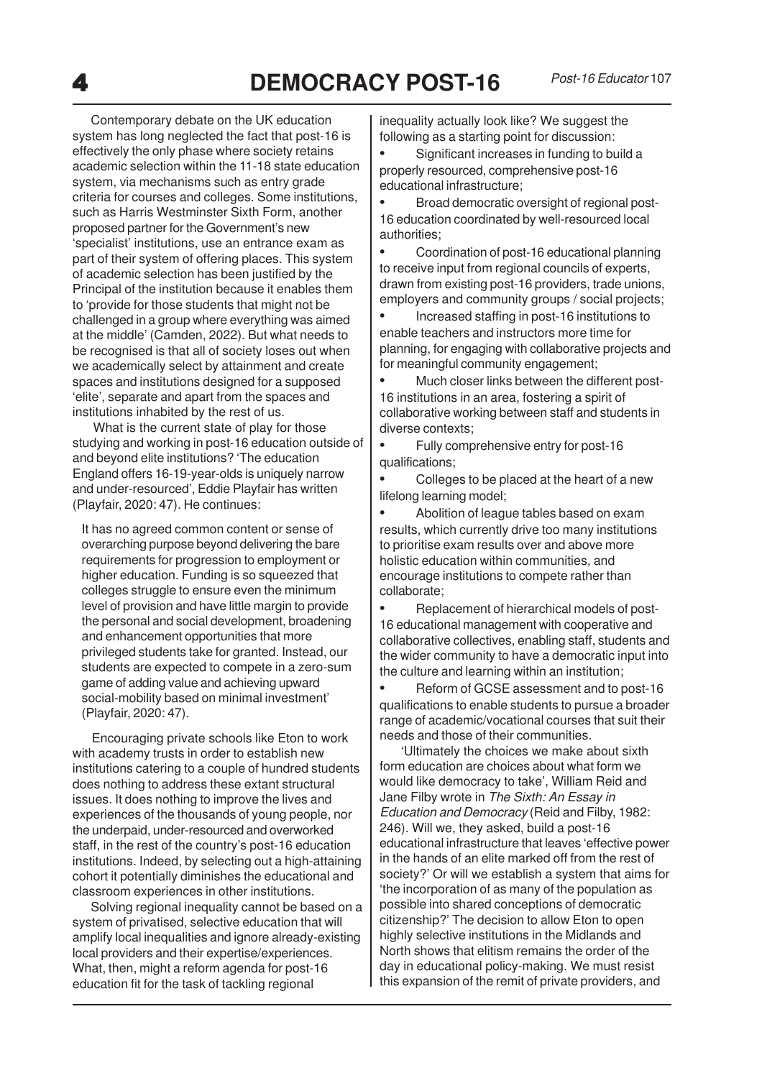Contemporary debate on the UK education system has long neglected the fact that post-16 is effectively the only phase where society retains academic selection within the 11-18 state education system, via mechanisms such as entry grade criteria for courses and colleges. Some institutions, such as Harris Westminster Sixth Form, another proposed partner for the Government's new 'specialist' institutions, use an entrance exam as part of their system of offering places. This system of academic selection has been justified by the Principal of the institution because it enables them to 'provide for those students that might not be challenged in a group where everything was aimed at the middle' (Camden, 2022). But what needs to be recognised is that all of society loses out when we academically select by attainment and create spaces and institutions designed for a supposed 'elite', separate and apart from the spaces and institutions inhabited by the rest of us.

 What is the current state of play for those studying and working in post-16 education outside of and beyond elite institutions? 'The education England offers 16-19-year-olds is uniquely narrow and under-resourced', Eddie Playfair has written (Playfair, 2020: 47). He continues:

It has no agreed common content or sense of overarching purpose beyond delivering the bare requirements for progression to employment or higher education. Funding is so squeezed that colleges struggle to ensure even the minimum level of provision and have little margin to provide the personal and social development, broadening and enhancement opportunities that more privileged students take for granted. Instead, our students are expected to compete in a zero-sum game of adding value and achieving upward social-mobility based on minimal investment' (Playfair, 2020: 47).

 Encouraging private schools like Eton to work with academy trusts in order to establish new institutions catering to a couple of hundred students does nothing to address these extant structural issues. It does nothing to improve the lives and experiences of the thousands of young people, nor the underpaid, under-resourced and overworked staff, in the rest of the country's post-16 education institutions. Indeed, by selecting out a high-attaining cohort it potentially diminishes the educational and classroom experiences in other institutions.

 Solving regional inequality cannot be based on a system of privatised, selective education that will amplify local inequalities and ignore already-existing local providers and their expertise/experiences. What, then, might a reform agenda for post-16 education fit for the task of tackling regional

inequality actually look like? We suggest the following as a starting point for discussion:

• Significant increases in funding to build a properly resourced, comprehensive post-16 educational infrastructure;

• Broad democratic oversight of regional post-16 education coordinated by well-resourced local authorities;

• Coordination of post-16 educational planning to receive input from regional councils of experts, drawn from existing post-16 providers, trade unions, employers and community groups / social projects;

• Increased staffing in post-16 institutions to enable teachers and instructors more time for planning, for engaging with collaborative projects and for meaningful community engagement;

• Much closer links between the different post-16 institutions in an area, fostering a spirit of collaborative working between staff and students in diverse contexts;

• Fully comprehensive entry for post-16 qualifications;

• Colleges to be placed at the heart of a new lifelong learning model;

• Abolition of league tables based on exam results, which currently drive too many institutions to prioritise exam results over and above more holistic education within communities, and encourage institutions to compete rather than collaborate;

• Replacement of hierarchical models of post-16 educational management with cooperative and collaborative collectives, enabling staff, students and the wider community to have a democratic input into the culture and learning within an institution;

• Reform of GCSE assessment and to post-16 qualifications to enable students to pursue a broader range of academic/vocational courses that suit their needs and those of their communities.

 'Ultimately the choices we make about sixth form education are choices about what form we would like democracy to take', William Reid and Jane Filby wrote in The Sixth: An Essay in Education and Democracy (Reid and Filby, 1982: 246). Will we, they asked, build a post-16 educational infrastructure that leaves 'effective power in the hands of an elite marked off from the rest of society?' Or will we establish a system that aims for 'the incorporation of as many of the population as possible into shared conceptions of democratic citizenship?' The decision to allow Eton to open highly selective institutions in the Midlands and North shows that elitism remains the order of the day in educational policy-making. We must resist this expansion of the remit of private providers, and